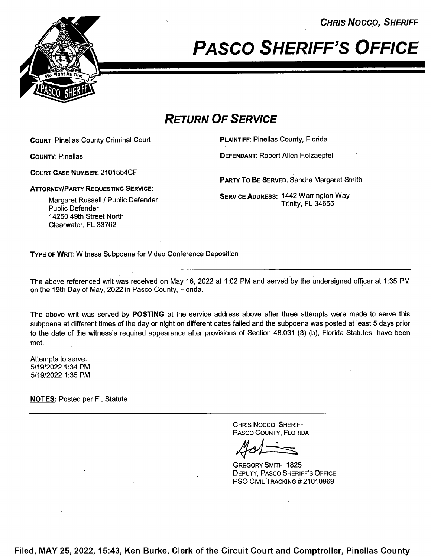CHRIS Nocco, SHERIFF



# **PASCO SHERIFF'S OFFICE**

## RETURN OF SERVICE

COURT: Pinellas County Criminal Court **PLAINTIFF: Pinellas County, Florida** 

COURT CASE NUMBER: 21 01 554CF

ATTORNEY/PARTY REQUESTING SERVICE:

Margaret Russell / Public Defender Public Defender 14250 49th Street North Clearwater, FL 33762

COUNTY: Pinellas DEFENDANT: Robert Allen Holzaepfel

PARTY To BE SERVED: Sandra Margaret Smith

SERVICE ADDRESS: 1442 Warrington Way Trinity, FL 34655

TYPE 0F WRIT: Witness Subpoena for Video Conference Deposition

The above referenced writ was received on May 16, 2022 at 1:02 PM and served by the undersigned officer at 1:35 PM on the 19th Day of May, 2022 in Pasco County, Florida.

The above writ was served by **POSTING** at the service address above after three attempts were made to serve this subpoena at different times of the day or night on different dates failed and thé subpoena was posted at least 5 days prior to the date of the witness's required appearance after provisions of Section 48.031 (3) (b), Florida Statutes, have been met.

Attempts to serve: 5/19/2022 1:34 PM 5/1 9/2022 1:35 PM

NOTES: Posted per FL Statute

CHRIS Nocco, SHERIFF PASCO COUNTY, FLORIDA

GREGORY SMITH 1825 DEPUTY, PAsco SHERIFF'S OFFICE **PSO CIVIL TRACKING # 21010969** 

Filed, MAY 25, 2022, 15:43, Ken Burke, Clerk of the Circuit Court and Comptroller, Pinellas County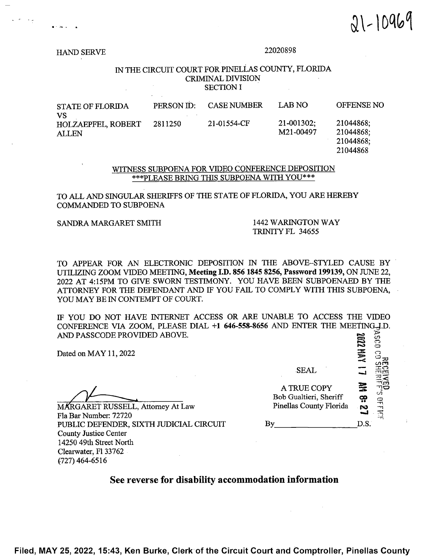$.91 - 10969$ 

HAND SERVE 22020898

#### IN THE CIRCUIT COURT FOR PINELLAS COUNTY, FLORIDA CRIMINAL DIVISION SECTION I

| <b>STATE OF FLORIDA</b><br>VS<br><b>HOLZAEPFEL, ROBERT</b><br><b>ALLEN</b> | PERSON ID: | <b>CASE NUMBER</b> | LAB NO                  | OFFENSE NO             |
|----------------------------------------------------------------------------|------------|--------------------|-------------------------|------------------------|
|                                                                            | 2811250    | 21-01554-CF        | 21-001302;<br>M21-00497 | 21044868;<br>21044868; |
|                                                                            |            |                    |                         | 21044868;              |

21044868

#### WITNESS SUBPOENA FOR VIDEO CONFERENCE DEPOSITION \*\*\*PLEASE BRING THIS SUBPOENA WITH YOU\*\*\*

### TO ALL AND SINGULAR SHERIFFS OF THE STATE OF FLORIDA, YOU ARE HEREBY COMMANDED TO SUBPOENA

#### SANDRA MARGARET SMITH 1442 WARINGTON WAY TRINITY FL 34655

TO APPEAR FOR AN ELECTRONIC DEPOSITION IN THE ABOVE—STYLED CAUSE BY UTILIZING ZOOM VIDEO MEETING, Meeting I.D. <sup>856</sup> <sup>1845</sup> 8256, Password 199139, ON JUNE 22, <sup>2022</sup> AT 4:15PM TO GIVE SWORN TESTIMONY. YOU HAVE BEEN SUBPOENAED BY THE ATTORNEY FOR THE DEFENDANT AND IF YOU FAIL TO COMPLY WITH THIS SUBPOENA, YOU MAY BE IN CONTEMPT OF COURT.

[F YOU DO NOT HAVE MERNET ACCESS OR ARE UNABLE TO ACCESS THE VIDEO CONFERENCE VIA ZOOM, PLEASE DIAL +1 646-558-8656 AND ENTER THE MEETING-LD. AND PASSCODE PROVIDED ABOVE.

MARGARET RUSSELL, Attorney At Law Fla Bar Number: 72720<br>PUBLIC DEFENDER SIXTH ILIDICIAL CIRCUIT PUBLIC DEFENDER, SIXTH JUDICIAL CIRCUIT County Justice Center 14250 49th Street North Clearwater, F1 33762 (727) 464-6516

| Dated on MAY 11, 2022                                      |                                       | r.   |   |  |
|------------------------------------------------------------|---------------------------------------|------|---|--|
|                                                            | <b>SEAL</b>                           |      |   |  |
|                                                            | A TRUE COPY<br>Bob Gualtieri, Sheriff | ငှာ့ | 믂 |  |
| MARGARET RUSSELL, Attorney At Law<br>Fla Bar Number: 72720 | Pinellas County Florida               |      |   |  |
| PUBLIC DEFENDER, SIXTH JUDICIAL CIRCUIT                    | Bv                                    | D.S. |   |  |

### See reverse for disability accommodation information

Filed, MAY 25, 2022, 15:43, Ken Burke, Clerk'of the Circuit Court and Comptroller, Pinellas County